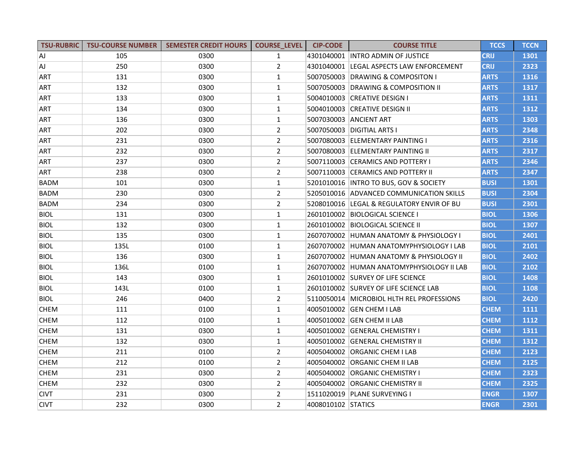| <b>TSU-RUBRIC</b> | <b>TSU-COURSE NUMBER</b> | <b>SEMESTER CREDIT HOURS</b> | <b>COURSE LEVEL</b> | <b>CIP-CODE</b>    | <b>COURSE TITLE</b>                         | <b>TCCS</b> | <b>TCCN</b> |
|-------------------|--------------------------|------------------------------|---------------------|--------------------|---------------------------------------------|-------------|-------------|
| ΙAJ               | 105                      | 0300                         | $\mathbf{1}$        |                    | 4301040001 INTRO ADMIN OF JUSTICE           | <b>CRIJ</b> | 1301        |
| ΙAJ               | 250                      | 0300                         | $\overline{2}$      |                    | 4301040001 LEGAL ASPECTS LAW ENFORCEMENT    | <b>CRIJ</b> | 2323        |
| ART               | 131                      | 0300                         | $\mathbf{1}$        |                    | 5007050003 DRAWING & COMPOSITON I           | <b>ARTS</b> | 1316        |
| <b>ART</b>        | 132                      | 0300                         | $\mathbf{1}$        |                    | 5007050003 DRAWING & COMPOSITION II         | <b>ARTS</b> | 1317        |
| ART               | 133                      | 0300                         | $\mathbf{1}$        |                    | 5004010003 CREATIVE DESIGN I                | <b>ARTS</b> | 1311        |
| ART               | 134                      | 0300                         | $\mathbf{1}$        |                    | 5004010003 CREATIVE DESIGN II               | <b>ARTS</b> | 1312        |
| <b>ART</b>        | 136                      | 0300                         | $\mathbf{1}$        |                    | 5007030003 ANCIENT ART                      | <b>ARTS</b> | 1303        |
| ART               | 202                      | 0300                         | $\overline{2}$      |                    | 5007050003  DIGITIAL ARTS I                 | <b>ARTS</b> | 2348        |
| <b>ART</b>        | 231                      | 0300                         | $\overline{2}$      |                    | 5007080003 ELEMENTARY PAINTING I            | <b>ARTS</b> | 2316        |
| <b>ART</b>        | 232                      | 0300                         | $\overline{2}$      |                    | 5007080003 ELEMENTARY PAINTING II           | <b>ARTS</b> | 2317        |
| <b>ART</b>        | 237                      | 0300                         | $\overline{2}$      |                    | 5007110003 CERAMICS AND POTTERY I           | <b>ARTS</b> | 2346        |
| <b>ART</b>        | 238                      | 0300                         | $\overline{2}$      |                    | 5007110003 CERAMICS AND POTTERY II          | <b>ARTS</b> | 2347        |
| <b>BADM</b>       | 101                      | 0300                         | $\mathbf{1}$        |                    | 5201010016   INTRO TO BUS, GOV & SOCIETY    | <b>BUSI</b> | 1301        |
| <b>BADM</b>       | 230                      | 0300                         | $\overline{2}$      |                    | 5205010016 ADVANCED COMMUNICATION SKILLS    | <b>BUSI</b> | 2304        |
| <b>BADM</b>       | 234                      | 0300                         | $\overline{2}$      |                    | 5208010016  LEGAL & REGULATORY ENVIR OF BU  | <b>BUSI</b> | 2301        |
| <b>BIOL</b>       | 131                      | 0300                         | $\mathbf{1}$        |                    | 2601010002  BIOLOGICAL SCIENCE I            | <b>BIOL</b> | 1306        |
| <b>BIOL</b>       | 132                      | 0300                         | $\mathbf{1}$        |                    | 2601010002  BIOLOGICAL SCIENCE II           | <b>BIOL</b> | 1307        |
| <b>BIOL</b>       | 135                      | 0300                         | $\mathbf{1}$        |                    | 2607070002 HUMAN ANATOMY & PHYSIOLOGY I     | <b>BIOL</b> | 2401        |
| <b>BIOL</b>       | 135L                     | 0100                         | $\mathbf{1}$        |                    | 2607070002 HUMAN ANATOMYPHYSIOLOGY I LAB    | <b>BIOL</b> | 2101        |
| <b>BIOL</b>       | 136                      | 0300                         | $\mathbf{1}$        |                    | 2607070002 HUMAN ANATOMY & PHYSIOLOGY II    | <b>BIOL</b> | 2402        |
| <b>BIOL</b>       | 136L                     | 0100                         | $\mathbf{1}$        |                    | 2607070002 HUMAN ANATOMYPHYSIOLOGY II LAB   | <b>BIOL</b> | 2102        |
| <b>BIOL</b>       | 143                      | 0300                         | 1                   |                    | 2601010002 SURVEY OF LIFE SCIENCE           | <b>BIOL</b> | 1408        |
| <b>BIOL</b>       | 143L                     | 0100                         | $\mathbf{1}$        |                    | 2601010002 SURVEY OF LIFE SCIENCE LAB       | <b>BIOL</b> | 1108        |
| <b>BIOL</b>       | 246                      | 0400                         | $\overline{2}$      |                    | 5110050014   MICROBIOL HLTH REL PROFESSIONS | <b>BIOL</b> | 2420        |
| <b>CHEM</b>       | 111                      | 0100                         | $\mathbf{1}$        |                    | 4005010002 GEN CHEM I LAB                   | <b>CHEM</b> | 1111        |
| <b>CHEM</b>       | 112                      | 0100                         | $\mathbf{1}$        |                    | 4005010002 GEN CHEM II LAB                  | <b>CHEM</b> | 1112        |
| <b>CHEM</b>       | 131                      | 0300                         | $\mathbf{1}$        |                    | 4005010002 GENERAL CHEMISTRY I              | <b>CHEM</b> | 1311        |
| <b>CHEM</b>       | 132                      | 0300                         | $\mathbf{1}$        |                    | 4005010002 GENERAL CHEMISTRY II             | <b>CHEM</b> | 1312        |
| <b>CHEM</b>       | 211                      | 0100                         | $\overline{2}$      |                    | 4005040002 ORGANIC CHEM I LAB               | <b>CHEM</b> | 2123        |
| <b>CHEM</b>       | 212                      | 0100                         | $\overline{2}$      |                    | 4005040002 ORGANIC CHEM II LAB              | <b>CHEM</b> | 2125        |
| <b>CHEM</b>       | 231                      | 0300                         | $\overline{2}$      |                    | 4005040002 ORGANIC CHEMISTRY I              | <b>CHEM</b> | 2323        |
| <b>CHEM</b>       | 232                      | 0300                         | $\overline{2}$      |                    | 4005040002 ORGANIC CHEMISTRY II             | <b>CHEM</b> | 2325        |
| <b>CIVT</b>       | 231                      | 0300                         | $\overline{2}$      |                    | 1511020019   PLANE SURVEYING I              | <b>ENGR</b> | 1307        |
| <b>CIVT</b>       | 232                      | 0300                         | $\overline{2}$      | 4008010102 STATICS |                                             | <b>ENGR</b> | 2301        |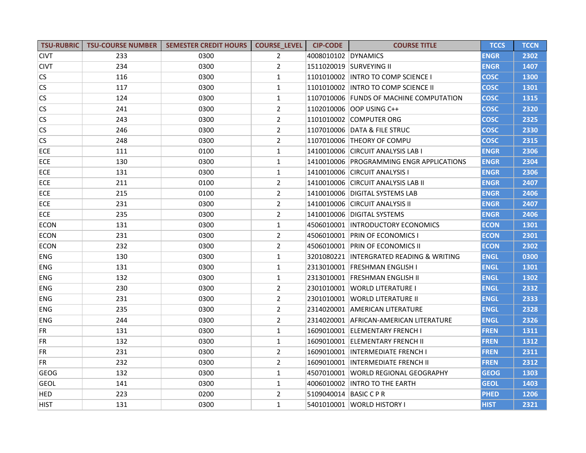| <b>TSU-RUBRIC</b> | <b>TSU-COURSE NUMBER</b> | <b>SEMESTER CREDIT HOURS</b> | <b>COURSE_LEVEL</b> | <b>CIP-CODE</b>        | <b>COURSE TITLE</b>                      | <b>TCCS</b> | <b>TCCN</b> |
|-------------------|--------------------------|------------------------------|---------------------|------------------------|------------------------------------------|-------------|-------------|
| <b>CIVT</b>       | 233                      | 0300                         | $\overline{2}$      | 4008010102 DYNAMICS    |                                          | <b>ENGR</b> | 2302        |
| <b>CIVT</b>       | 234                      | 0300                         | $\overline{2}$      |                        | 1511020019 SURVEYING II                  | <b>ENGR</b> | 1407        |
| <b>CS</b>         | 116                      | 0300                         | $\mathbf{1}$        |                        | 1101010002 INTRO TO COMP SCIENCE I       | <b>COSC</b> | 1300        |
| <b>CS</b>         | 117                      | 0300                         | $\mathbf{1}$        |                        | 1101010002   INTRO TO COMP SCIENCE II    | <b>COSC</b> | 1301        |
| <b>CS</b>         | 124                      | 0300                         | $\mathbf{1}$        |                        | 1107010006 FUNDS OF MACHINE COMPUTATION  | <b>COSC</b> | 1315        |
| CS                | 241                      | 0300                         | $\overline{2}$      |                        | 1102010006   OOP USING C++               | <b>COSC</b> | 2320        |
| <b>CS</b>         | 243                      | 0300                         | $\overline{2}$      |                        | 1101010002 COMPUTER ORG                  | <b>COSC</b> | 2325        |
| <b>CS</b>         | 246                      | 0300                         | $\overline{2}$      |                        | 1107010006 DATA & FILE STRUC             | <b>COSC</b> | 2330        |
| <b>CS</b>         | 248                      | 0300                         | $\overline{2}$      |                        | 1107010006 THEORY OF COMPU               | <b>COSC</b> | 2315        |
| <b>ECE</b>        | 111                      | 0100                         | $\mathbf{1}$        |                        | 1410010006 CIRCUIT ANALYSIS LAB I        | <b>ENGR</b> | 2306        |
| ECE               | 130                      | 0300                         | $\mathbf{1}$        |                        | 1410010006 PROGRAMMING ENGR APPLICATIONS | <b>ENGR</b> | 2304        |
| ECE               | 131                      | 0300                         | $\mathbf{1}$        |                        | 1410010006 CIRCUIT ANALYSIS I            | <b>ENGR</b> | 2306        |
| ECE               | 211                      | 0100                         | $\overline{2}$      |                        | 1410010006 CIRCUIT ANALYSIS LAB II       | <b>ENGR</b> | 2407        |
| ECE               | 215                      | 0100                         | $\overline{2}$      |                        | 1410010006 DIGITAL SYSTEMS LAB           | <b>ENGR</b> | 2406        |
| ECE               | 231                      | 0300                         | $\overline{2}$      |                        | 1410010006 CIRCUIT ANALYSIS II           | <b>ENGR</b> | 2407        |
| ECE               | 235                      | 0300                         | $\overline{2}$      |                        | 1410010006 DIGITAL SYSTEMS               | <b>ENGR</b> | 2406        |
| <b>ECON</b>       | 131                      | 0300                         | $\mathbf{1}$        |                        | 4506010001 INTRODUCTORY ECONOMICS        | <b>ECON</b> | 1301        |
| <b>ECON</b>       | 231                      | 0300                         | $\overline{2}$      |                        | 4506010001 PRIN OF ECONOMICS I           | <b>ECON</b> | 2301        |
| <b>ECON</b>       | 232                      | 0300                         | $\overline{2}$      |                        | 4506010001 PRIN OF ECONOMICS II          | <b>ECON</b> | 2302        |
| <b>ENG</b>        | 130                      | 0300                         | $\mathbf{1}$        |                        | 3201080221 INTERGRATED READING & WRITING | <b>ENGL</b> | 0300        |
| <b>ENG</b>        | 131                      | 0300                         | $\mathbf{1}$        |                        | 2313010001 FRESHMAN ENGLISH I            | <b>ENGL</b> | 1301        |
| <b>ENG</b>        | 132                      | 0300                         | $\mathbf{1}$        |                        | 2313010001 FRESHMAN ENGLISH II           | <b>ENGL</b> | 1302        |
| <b>ENG</b>        | 230                      | 0300                         | $\overline{2}$      |                        | 2301010001   WORLD LITERATURE I          | <b>ENGL</b> | 2332        |
| <b>ENG</b>        | 231                      | 0300                         | $\overline{2}$      |                        | 2301010001 WORLD LITERATURE II           | <b>ENGL</b> | 2333        |
| <b>ENG</b>        | 235                      | 0300                         | $\overline{2}$      |                        | 2314020001 AMERICAN LITERATURE           | <b>ENGL</b> | 2328        |
| <b>ENG</b>        | 244                      | 0300                         | $\overline{2}$      |                        | 2314020001 AFRICAN-AMERICAN LITERATURE   | <b>ENGL</b> | 2326        |
| <b>FR</b>         | 131                      | 0300                         | $\mathbf{1}$        |                        | 1609010001 ELEMENTARY FRENCH I           | <b>FREN</b> | 1311        |
| FR                | 132                      | 0300                         | $\mathbf{1}$        |                        | 1609010001 ELEMENTARY FRENCH II          | <b>FREN</b> | 1312        |
| <b>FR</b>         | 231                      | 0300                         | $\overline{2}$      |                        | 1609010001 INTERMEDIATE FRENCH I         | <b>FREN</b> | 2311        |
| FR.               | 232                      | 0300                         | $\overline{2}$      |                        | 1609010001 INTERMEDIATE FRENCH II        | <b>FREN</b> | 2312        |
| <b>GEOG</b>       | 132                      | 0300                         | $\mathbf{1}$        |                        | 4507010001 WORLD REGIONAL GEOGRAPHY      | <b>GEOG</b> | 1303        |
| <b>GEOL</b>       | 141                      | 0300                         | $\mathbf{1}$        |                        | 4006010002   INTRO TO THE EARTH          | <b>GEOL</b> | 1403        |
| <b>HED</b>        | 223                      | 0200                         | $\overline{2}$      | 5109040014 BASIC C P R |                                          | <b>PHED</b> | 1206        |
| <b>HIST</b>       | 131                      | 0300                         | $\mathbf{1}$        |                        | 5401010001 WORLD HISTORY I               | <b>HIST</b> | 2321        |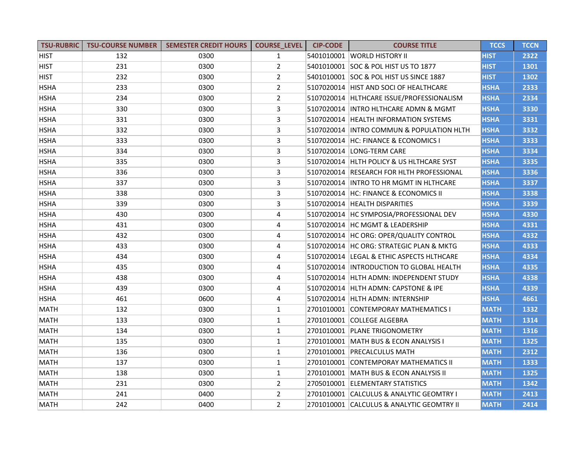| <b>TSU-RUBRIC</b> | <b>TSU-COURSE NUMBER</b> | <b>SEMESTER CREDIT HOURS</b> | <b>COURSE LEVEL</b> | <b>CIP-CODE</b> | <b>COURSE TITLE</b>                       | <b>TCCS</b> | <b>TCCN</b> |
|-------------------|--------------------------|------------------------------|---------------------|-----------------|-------------------------------------------|-------------|-------------|
| <b>HIST</b>       | 132                      | 0300                         | $\mathbf{1}$        |                 | 5401010001 WORLD HISTORY II               | <b>HIST</b> | 2322        |
| <b>HIST</b>       | 231                      | 0300                         | $\overline{2}$      |                 | 5401010001 SOC & POL HIST US TO 1877      | <b>HIST</b> | 1301        |
| <b>HIST</b>       | 232                      | 0300                         | $\overline{2}$      |                 | 5401010001 SOC & POL HIST US SINCE 1887   | <b>HIST</b> | 1302        |
| <b>HSHA</b>       | 233                      | 0300                         | $\overline{2}$      |                 | 5107020014 HIST AND SOCI OF HEALTHCARE    | <b>HSHA</b> | 2333        |
| <b>HSHA</b>       | 234                      | 0300                         | $\overline{2}$      |                 | 5107020014 HLTHCARE ISSUE/PROFESSIONALISM | <b>HSHA</b> | 2334        |
| <b>HSHA</b>       | 330                      | 0300                         | 3                   |                 | 5107020014   INTRO HLTHCARE ADMN & MGMT   | <b>HSHA</b> | 3330        |
| <b>HSHA</b>       | 331                      | 0300                         | 3                   |                 | 5107020014 HEALTH INFORMATION SYSTEMS     | <b>HSHA</b> | 3331        |
| <b>HSHA</b>       | 332                      | 0300                         | 3                   |                 | 5107020014 INTRO COMMUN & POPULATION HLTH | <b>HSHA</b> | 3332        |
| <b>HSHA</b>       | 333                      | 0300                         | 3                   |                 | 5107020014 HC: FINANCE & ECONOMICS I      | <b>HSHA</b> | 3333        |
| <b>HSHA</b>       | 334                      | 0300                         | 3                   |                 | 5107020014   LONG-TERM CARE               | <b>HSHA</b> | 3334        |
| <b>HSHA</b>       | 335                      | 0300                         | 3                   |                 | 5107020014 HLTH POLICY & US HLTHCARE SYST | <b>HSHA</b> | 3335        |
| <b>HSHA</b>       | 336                      | 0300                         | 3                   |                 | 5107020014 RESEARCH FOR HLTH PROFESSIONAL | <b>HSHA</b> | 3336        |
| <b>HSHA</b>       | 337                      | 0300                         | 3                   |                 | 5107020014  INTRO TO HR MGMT IN HLTHCARE  | <b>HSHA</b> | 3337        |
| <b>HSHA</b>       | 338                      | 0300                         | 3                   |                 | 5107020014 HC: FINANCE & ECONOMICS II     | <b>HSHA</b> | 3338        |
| <b>HSHA</b>       | 339                      | 0300                         | 3                   |                 | 5107020014 HEALTH DISPARITIES             | <b>HSHA</b> | 3339        |
| <b>HSHA</b>       | 430                      | 0300                         | 4                   |                 | 5107020014 HC SYMPOSIA/PROFESSIONAL DEV   | <b>HSHA</b> | 4330        |
| <b>HSHA</b>       | 431                      | 0300                         | 4                   |                 | 5107020014 HC MGMT & LEADERSHIP           | <b>HSHA</b> | 4331        |
| <b>HSHA</b>       | 432                      | 0300                         | 4                   |                 | 5107020014 HC ORG: OPER/QUALITY CONTROL   | <b>HSHA</b> | 4332        |
| <b>HSHA</b>       | 433                      | 0300                         | 4                   |                 | 5107020014 HC ORG: STRATEGIC PLAN & MKTG  | <b>HSHA</b> | 4333        |
| <b>HSHA</b>       | 434                      | 0300                         | 4                   |                 | 5107020014 LEGAL & ETHIC ASPECTS HLTHCARE | <b>HSHA</b> | 4334        |
| <b>HSHA</b>       | 435                      | 0300                         | 4                   |                 | 5107020014 INTRODUCTION TO GLOBAL HEALTH  | <b>HSHA</b> | 4335        |
| <b>HSHA</b>       | 438                      | 0300                         | 4                   |                 | 5107020014  HLTH ADMN: INDEPENDENT STUDY  | <b>HSHA</b> | 4338        |
| <b>HSHA</b>       | 439                      | 0300                         | 4                   |                 | 5107020014 HLTH ADMN: CAPSTONE & IPE      | <b>HSHA</b> | 4339        |
| <b>HSHA</b>       | 461                      | 0600                         | 4                   |                 | 5107020014 HLTH ADMN: INTERNSHIP          | <b>HSHA</b> | 4661        |
| MATH              | 132                      | 0300                         | $\mathbf{1}$        |                 | 2701010001 CONTEMPORAY MATHEMATICS I      | <b>MATH</b> | 1332        |
| <b>MATH</b>       | 133                      | 0300                         | $\mathbf{1}$        |                 | 2701010001 COLLEGE ALGEBRA                | <b>MATH</b> | 1314        |
| <b>MATH</b>       | 134                      | 0300                         | $\mathbf{1}$        |                 | 2701010001 PLANE TRIGONOMETRY             | <b>MATH</b> | 1316        |
| <b>MATH</b>       | 135                      | 0300                         | $\mathbf{1}$        |                 | 2701010001   MATH BUS & ECON ANALYSIS I   | <b>MATH</b> | 1325        |
| <b>MATH</b>       | 136                      | 0300                         | $\mathbf{1}$        |                 | 2701010001 PRECALCULUS MATH               | <b>MATH</b> | 2312        |
| <b>MATH</b>       | 137                      | 0300                         | $\mathbf{1}$        |                 | 2701010001 CONTEMPORAY MATHEMATICS II     | <b>MATH</b> | 1333        |
| MATH              | 138                      | 0300                         | $\mathbf{1}$        |                 | 2701010001 MATH BUS & ECON ANALYSIS II    | <b>MATH</b> | 1325        |
| MATH              | 231                      | 0300                         | $\overline{2}$      |                 | 2705010001 ELEMENTARY STATISTICS          | <b>MATH</b> | 1342        |
| <b>MATH</b>       | 241                      | 0400                         | $\overline{2}$      |                 | 2701010001 CALCULUS & ANALYTIC GEOMTRY I  | <b>MATH</b> | 2413        |
| <b>MATH</b>       | 242                      | 0400                         | $\overline{2}$      |                 | 2701010001 CALCULUS & ANALYTIC GEOMTRY II | <b>MATH</b> | 2414        |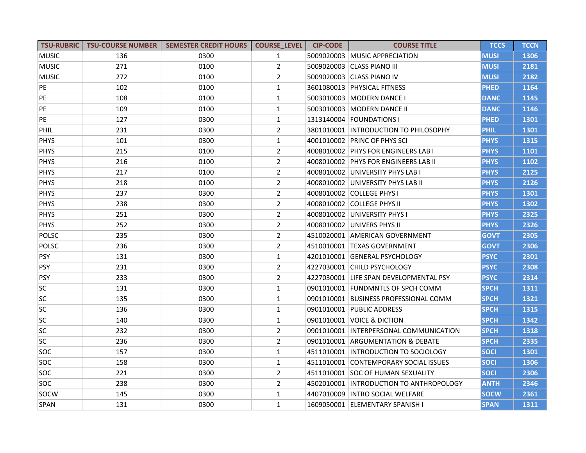| <b>TSU-RUBRIC</b> | <b>TSU-COURSE NUMBER</b> | <b>SEMESTER CREDIT HOURS</b> | <b>COURSE LEVEL</b> | <b>CIP-CODE</b> | <b>COURSE TITLE</b>                      | <b>TCCS</b> | <b>TCCN</b> |
|-------------------|--------------------------|------------------------------|---------------------|-----------------|------------------------------------------|-------------|-------------|
| <b>MUSIC</b>      | 136                      | 0300                         | $\mathbf{1}$        |                 | 5009020003 MUSIC APPRECIATION            | <b>MUSI</b> | 1306        |
| <b>MUSIC</b>      | 271                      | 0100                         | $\overline{2}$      |                 | 5009020003 CLASS PIANO III               | <b>MUSI</b> | 2181        |
| <b>MUSIC</b>      | 272                      | 0100                         | $\overline{2}$      |                 | 5009020003 CLASS PIANO IV                | <b>MUSI</b> | 2182        |
| PE                | 102                      | 0100                         | $\mathbf{1}$        |                 | 3601080013 PHYSICAL FITNESS              | <b>PHED</b> | 1164        |
| PE                | 108                      | 0100                         | $\mathbf{1}$        |                 | 5003010003   MODERN DANCE I              | <b>DANC</b> | 1145        |
| PE                | 109                      | 0100                         | $\mathbf{1}$        |                 | 5003010003 MODERN DANCE II               | <b>DANC</b> | 1146        |
| PE                | 127                      | 0300                         | $\mathbf{1}$        |                 | 1313140004   FOUNDATIONS                 | <b>PHED</b> | 1301        |
| <b>PHIL</b>       | 231                      | 0300                         | $\overline{2}$      |                 | 3801010001 INTRODUCTION TO PHILOSOPHY    | <b>PHIL</b> | 1301        |
| <b>PHYS</b>       | 101                      | 0300                         | $\mathbf{1}$        |                 | 4001010002 PRINC OF PHYS SCI             | <b>PHYS</b> | 1315        |
| <b>PHYS</b>       | 215                      | 0100                         | $\overline{2}$      |                 | 4008010002 PHYS FOR ENGINEERS LAB I      | <b>PHYS</b> | 1101        |
| <b>PHYS</b>       | 216                      | 0100                         | $\overline{2}$      |                 | 4008010002 PHYS FOR ENGINEERS LAB II     | <b>PHYS</b> | 1102        |
| <b>PHYS</b>       | 217                      | 0100                         | $\overline{2}$      |                 | 4008010002 UNIVERSITY PHYS LAB I         | <b>PHYS</b> | 2125        |
| <b>PHYS</b>       | 218                      | 0100                         | $\overline{2}$      |                 | 4008010002 UNIVERSITY PHYS LAB II        | <b>PHYS</b> | 2126        |
| <b>PHYS</b>       | 237                      | 0300                         | $\overline{2}$      |                 | 4008010002 COLLEGE PHYS I                | <b>PHYS</b> | 1301        |
| <b>PHYS</b>       | 238                      | 0300                         | $\overline{2}$      |                 | 4008010002 COLLEGE PHYS II               | <b>PHYS</b> | 1302        |
| <b>PHYS</b>       | 251                      | 0300                         | $\overline{2}$      |                 | 4008010002 UNIVERSITY PHYS I             | <b>PHYS</b> | 2325        |
| <b>PHYS</b>       | 252                      | 0300                         | $\overline{2}$      |                 | 4008010002 UNIVERS PHYS II               | <b>PHYS</b> | 2326        |
| POLSC             | 235                      | 0300                         | $\overline{2}$      |                 | 4510020001 AMERICAN GOVERNMENT           | <b>GOVT</b> | 2305        |
| <b>POLSC</b>      | 236                      | 0300                         | $\overline{2}$      |                 | 4510010001 TEXAS GOVERNMENT              | <b>GOVT</b> | 2306        |
| <b>PSY</b>        | 131                      | 0300                         | $\mathbf{1}$        |                 | 4201010001 GENERAL PSYCHOLOGY            | <b>PSYC</b> | 2301        |
| <b>PSY</b>        | 231                      | 0300                         | $\overline{2}$      |                 | 4227030001 CHILD PSYCHOLOGY              | <b>PSYC</b> | 2308        |
| <b>PSY</b>        | 233                      | 0300                         | $\overline{2}$      |                 | 4227030001 LIFE SPAN DEVELOPMENTAL PSY   | <b>PSYC</b> | 2314        |
| SC                | 131                      | 0300                         | $\mathbf{1}$        |                 | 0901010001 FUNDMNTLS OF SPCH COMM        | <b>SPCH</b> | 1311        |
| SC                | 135                      | 0300                         | $\mathbf{1}$        |                 | 0901010001 BUSINESS PROFESSIONAL COMM    | <b>SPCH</b> | 1321        |
| SC                | 136                      | 0300                         | $\mathbf{1}$        |                 | 0901010001 PUBLIC ADDRESS                | <b>SPCH</b> | 1315        |
| SC                | 140                      | 0300                         | $\mathbf{1}$        |                 | 0901010001 VOICE & DICTION               | <b>SPCH</b> | 1342        |
| sc                | 232                      | 0300                         | $\overline{2}$      |                 | 0901010001 INTERPERSONAL COMMUNICATION   | <b>SPCH</b> | 1318        |
| <b>SC</b>         | 236                      | 0300                         | $\overline{2}$      |                 | 0901010001 ARGUMENTATION & DEBATE        | <b>SPCH</b> | 2335        |
| <b>SOC</b>        | 157                      | 0300                         | $\mathbf{1}$        |                 | 4511010001 INTRODUCTION TO SOCIOLOGY     | <b>SOCI</b> | 1301        |
| <b>SOC</b>        | 158                      | 0300                         | $\mathbf{1}$        |                 | 4511010001 CONTEMPORARY SOCIAL ISSUES    | <b>SOCI</b> | 1306        |
| <b>SOC</b>        | 221                      | 0300                         | $\overline{2}$      |                 | 4511010001 ISOC OF HUMAN SEXUALITY       | <b>SOCI</b> | 2306        |
| SOC               | 238                      | 0300                         | $\overline{2}$      |                 | 4502010001  INTRODUCTION TO ANTHROPOLOGY | <b>ANTH</b> | 2346        |
| SOCW              | 145                      | 0300                         | $\mathbf{1}$        |                 | 4407010009 INTRO SOCIAL WELFARE          | <b>SOCW</b> | 2361        |
| SPAN              | 131                      | 0300                         | $\mathbf{1}$        |                 | 1609050001 ELEMENTARY SPANISH I          | <b>SPAN</b> | 1311        |